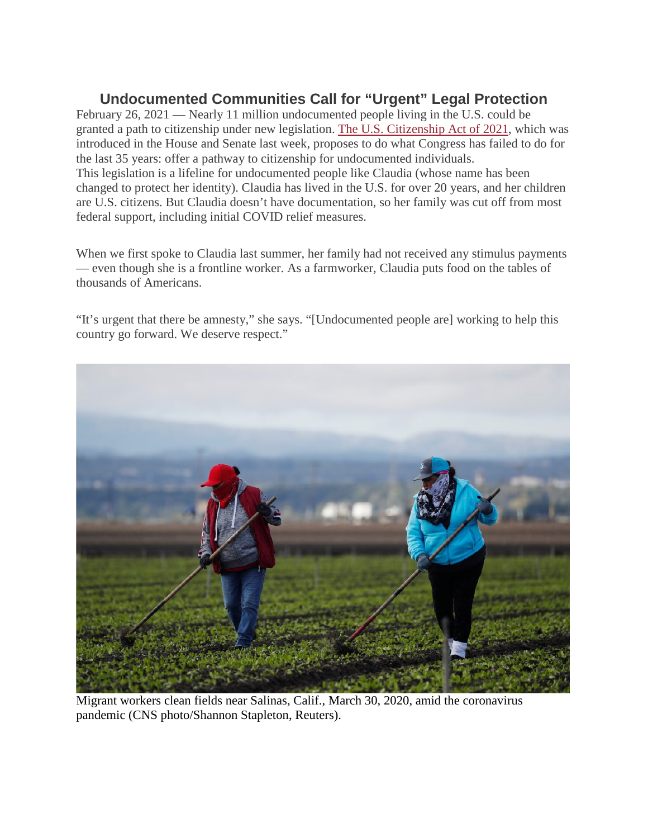## **Undocumented Communities Call for "Urgent" Legal Protection**

February 26, 2021 — Nearly 11 million undocumented people living in the U.S. could be granted a path to citizenship under new legislation. The U.S. [Citizenship](https://www.whitehouse.gov/briefing-room/statements-releases/2021/01/20/fact-sheet-president-biden-sends-immigration-bill-to-congress-as-part-of-his-commitment-to-modernize-our-immigration-system/) Act of 2021, which was introduced in the House and Senate last week, proposes to do what Congress has failed to do for the last 35 years: offer a pathway to citizenship for undocumented individuals. This legislation is a lifeline for undocumented people like Claudia (whose name has been changed to protect her identity). Claudia has lived in the U.S. for over 20 years, and her children are U.S. citizens. But Claudia doesn't have documentation, so her family was cut off from most federal support, including initial COVID relief measures.

When we first spoke to Claudia last summer, her family had not received any stimulus payments — even though she is a frontline worker. As a farmworker, Claudia puts food on the tables of thousands of Americans.

"It's urgent that there be amnesty," she says. "[Undocumented people are] working to help this country go forward. We deserve respect."



Migrant workers clean fields near Salinas, Calif., March 30, 2020, amid the coronavirus pandemic (CNS photo/Shannon Stapleton, Reuters).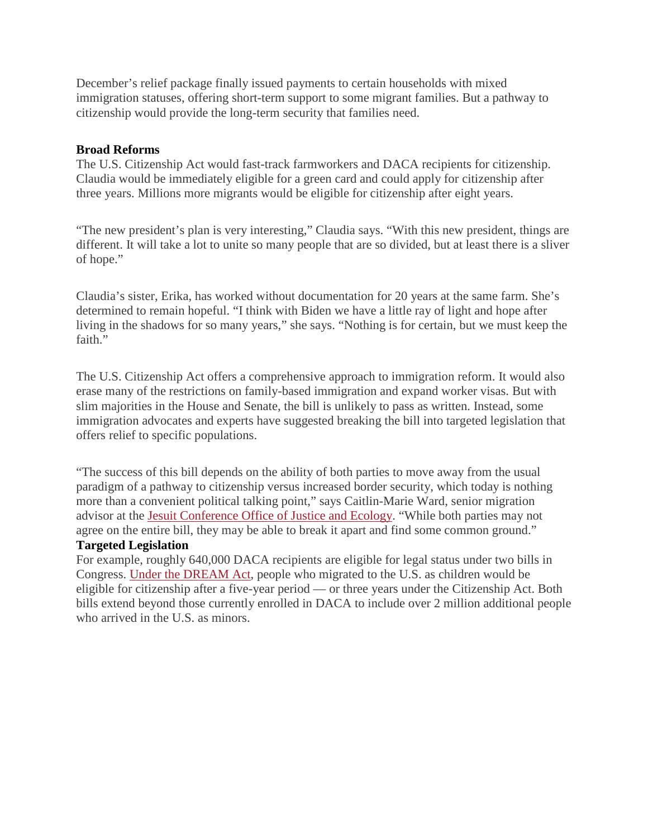December's relief package finally issued payments to certain households with mixed immigration statuses, offering short-term support to some migrant families. But a pathway to citizenship would provide the long-term security that families need.

## **Broad Reforms**

The U.S. Citizenship Act would fast-track farmworkers and DACA recipients for citizenship. Claudia would be immediately eligible for a green card and could apply for citizenship after three years. Millions more migrants would be eligible for citizenship after eight years.

"The new president's plan is very interesting," Claudia says. "With this new president, things are different. It will take a lot to unite so many people that are so divided, but at least there is a sliver of hope."

Claudia's sister, Erika, has worked without documentation for 20 years at the same farm. She's determined to remain hopeful. "I think with Biden we have a little ray of light and hope after living in the shadows for so many years," she says. "Nothing is for certain, but we must keep the faith."

The U.S. Citizenship Act offers a comprehensive approach to immigration reform. It would also erase many of the restrictions on family-based immigration and expand worker visas. But with slim majorities in the House and Senate, the bill is unlikely to pass as written. Instead, some immigration advocates and experts have suggested breaking the bill into targeted legislation that offers relief to specific populations.

"The success of this bill depends on the ability of both parties to move away from the usual paradigm of a pathway to citizenship versus increased border security, which today is nothing more than a convenient political talking point," says Caitlin-Marie Ward, senior migration advisor at the Jesuit [Conference](https://jesuits.org/justice) Office of Justice and Ecology. "While both parties may not agree on the entire bill, they may be able to break it apart and find some common ground." **Targeted Legislation**

For example, roughly 640,000 DACA recipients are eligible for legal status under two bills in Congress. Under the [DREAM](https://www.cnbc.com/2021/02/04/dream-act-lindsey-graham-dick-durbin-unveil-latest-version-of-immigration-reform-bill.html) Act, people who migrated to the U.S. as children would be eligible for citizenship after a five-year period — or three years under the Citizenship Act. Both bills extend beyond those currently enrolled in DACA to include over 2 million additional people who arrived in the U.S. as minors.